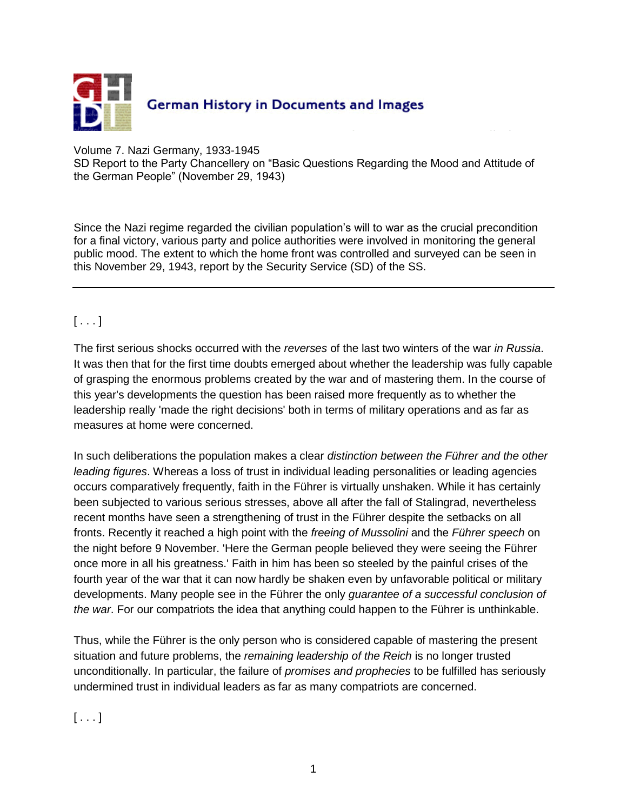

## Volume 7. Nazi Germany, 1933-1945

SD Report to the Party Chancellery on "Basic Questions Regarding the Mood and Attitude of the German People" (November 29, 1943)

Since the Nazi regime regarded the civilian population's will to war as the crucial precondition for a final victory, various party and police authorities were involved in monitoring the general public mood. The extent to which the home front was controlled and surveyed can be seen in this November 29, 1943, report by the Security Service (SD) of the SS.

## $[ \dots ]$

The first serious shocks occurred with the *reverses* of the last two winters of the war *in Russia*. It was then that for the first time doubts emerged about whether the leadership was fully capable of grasping the enormous problems created by the war and of mastering them. In the course of this year's developments the question has been raised more frequently as to whether the leadership really 'made the right decisions' both in terms of military operations and as far as measures at home were concerned.

In such deliberations the population makes a clear *distinction between the Führer and the other leading figures*. Whereas a loss of trust in individual leading personalities or leading agencies occurs comparatively frequently, faith in the Führer is virtually unshaken. While it has certainly been subjected to various serious stresses, above all after the fall of Stalingrad, nevertheless recent months have seen a strengthening of trust in the Führer despite the setbacks on all fronts. Recently it reached a high point with the *freeing of Mussolini* and the *Führer speech* on the night before 9 November. 'Here the German people believed they were seeing the Führer once more in all his greatness.' Faith in him has been so steeled by the painful crises of the fourth year of the war that it can now hardly be shaken even by unfavorable political or military developments. Many people see in the Führer the only *guarantee of a successful conclusion of the war*. For our compatriots the idea that anything could happen to the Führer is unthinkable.

Thus, while the Führer is the only person who is considered capable of mastering the present situation and future problems, the *remaining leadership of the Reich* is no longer trusted unconditionally. In particular, the failure of *promises and prophecies* to be fulfilled has seriously undermined trust in individual leaders as far as many compatriots are concerned.

 $[\ldots]$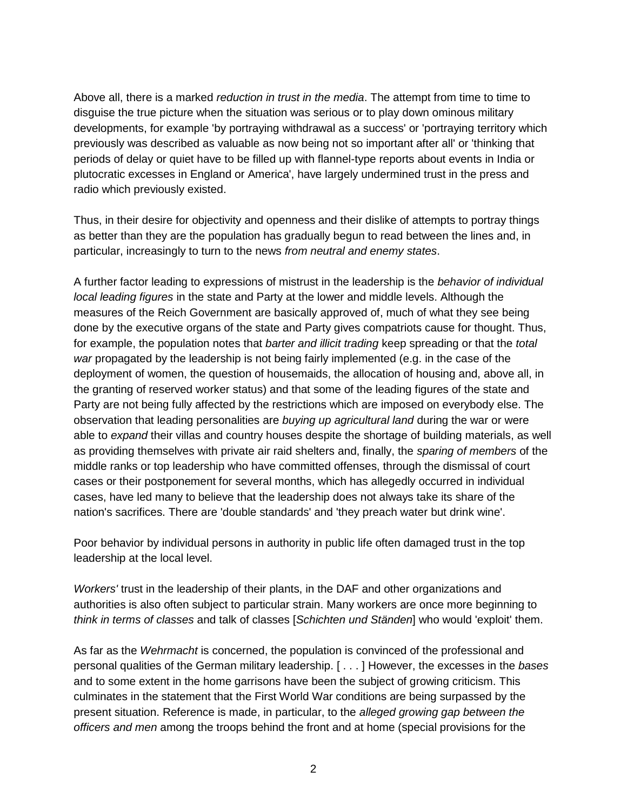Above all, there is a marked *reduction in trust in the media*. The attempt from time to time to disguise the true picture when the situation was serious or to play down ominous military developments, for example 'by portraying withdrawal as a success' or 'portraying territory which previously was described as valuable as now being not so important after all' or 'thinking that periods of delay or quiet have to be filled up with flannel-type reports about events in India or plutocratic excesses in England or America', have largely undermined trust in the press and radio which previously existed.

Thus, in their desire for objectivity and openness and their dislike of attempts to portray things as better than they are the population has gradually begun to read between the lines and, in particular, increasingly to turn to the news *from neutral and enemy states*.

A further factor leading to expressions of mistrust in the leadership is the *behavior of individual local leading figures* in the state and Party at the lower and middle levels. Although the measures of the Reich Government are basically approved of, much of what they see being done by the executive organs of the state and Party gives compatriots cause for thought. Thus, for example, the population notes that *barter and illicit trading* keep spreading or that the *total war* propagated by the leadership is not being fairly implemented (e.g. in the case of the deployment of women, the question of housemaids, the allocation of housing and, above all, in the granting of reserved worker status) and that some of the leading figures of the state and Party are not being fully affected by the restrictions which are imposed on everybody else. The observation that leading personalities are *buying up agricultural land* during the war or were able to *expand* their villas and country houses despite the shortage of building materials, as well as providing themselves with private air raid shelters and, finally, the *sparing of members* of the middle ranks or top leadership who have committed offenses, through the dismissal of court cases or their postponement for several months, which has allegedly occurred in individual cases, have led many to believe that the leadership does not always take its share of the nation's sacrifices. There are 'double standards' and 'they preach water but drink wine'.

Poor behavior by individual persons in authority in public life often damaged trust in the top leadership at the local level.

*Workers'* trust in the leadership of their plants, in the DAF and other organizations and authorities is also often subject to particular strain. Many workers are once more beginning to *think in terms of classes* and talk of classes [*Schichten und Ständen*] who would 'exploit' them.

As far as the *Wehrmacht* is concerned, the population is convinced of the professional and personal qualities of the German military leadership. [ . . . ] However, the excesses in the *bases* and to some extent in the home garrisons have been the subject of growing criticism. This culminates in the statement that the First World War conditions are being surpassed by the present situation. Reference is made, in particular, to the *alleged growing gap between the officers and men* among the troops behind the front and at home (special provisions for the